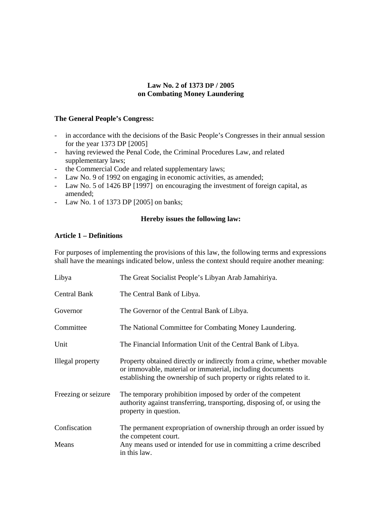## **Law No. 2 of 1373 DP / 2005 on Combating Money Laundering**

## **The General People's Congress:**

- in accordance with the decisions of the Basic People's Congresses in their annual session for the year 1373 DP  $[2005]$
- having reviewed the Penal Code, the Criminal Procedures Law, and related supplementary laws;
- the Commercial Code and related supplementary laws;
- Law No. 9 of 1992 on engaging in economic activities, as amended;
- Law No. 5 of 1426 BP [1997] on encouraging the investment of foreign capital, as amended;
- Law No. 1 of 1373 DP [2005] on banks;

## **Hereby issues the following law:**

## **Article 1 – Definitions**

For purposes of implementing the provisions of this law, the following terms and expressions shall have the meanings indicated below, unless the context should require another meaning:

| Libya               | The Great Socialist People's Libyan Arab Jamahiriya.                                                                                                                                                        |
|---------------------|-------------------------------------------------------------------------------------------------------------------------------------------------------------------------------------------------------------|
| Central Bank        | The Central Bank of Libya.                                                                                                                                                                                  |
| Governor            | The Governor of the Central Bank of Libya.                                                                                                                                                                  |
| Committee           | The National Committee for Combating Money Laundering.                                                                                                                                                      |
| Unit                | The Financial Information Unit of the Central Bank of Libya.                                                                                                                                                |
| Illegal property    | Property obtained directly or indirectly from a crime, whether movable<br>or immovable, material or immaterial, including documents<br>establishing the ownership of such property or rights related to it. |
| Freezing or seizure | The temporary prohibition imposed by order of the competent<br>authority against transferring, transporting, disposing of, or using the<br>property in question.                                            |
| Confiscation        | The permanent expropriation of ownership through an order issued by<br>the competent court.                                                                                                                 |
| Means               | Any means used or intended for use in committing a crime described<br>in this law.                                                                                                                          |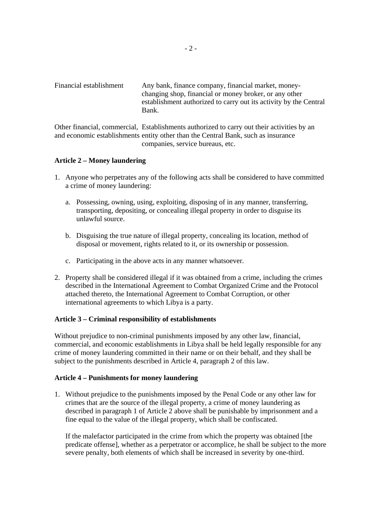Financial establishment Any bank, finance company, financial market, moneychanging shop, financial or money broker, or any other establishment authorized to carry out its activity by the Central Bank.

Other financial, commercial, Establishments authorized to carry out their activities by an and economic establishments entity other than the Central Bank, such as insurance companies, service bureaus, etc.

### **Article 2 – Money laundering**

- 1. Anyone who perpetrates any of the following acts shall be considered to have committed a crime of money laundering:
	- a. Possessing, owning, using, exploiting, disposing of in any manner, transferring, transporting, depositing, or concealing illegal property in order to disguise its unlawful source.
	- b. Disguising the true nature of illegal property, concealing its location, method of disposal or movement, rights related to it, or its ownership or possession.
	- c. Participating in the above acts in any manner whatsoever.
- 2. Property shall be considered illegal if it was obtained from a crime, including the crimes described in the International Agreement to Combat Organized Crime and the Protocol attached thereto, the International Agreement to Combat Corruption, or other international agreements to which Libya is a party.

#### **Article 3 – Criminal responsibility of establishments**

Without prejudice to non-criminal punishments imposed by any other law, financial, commercial, and economic establishments in Libya shall be held legally responsible for any crime of money laundering committed in their name or on their behalf, and they shall be subject to the punishments described in Article 4, paragraph 2 of this law.

#### **Article 4 – Punishments for money laundering**

1. Without prejudice to the punishments imposed by the Penal Code or any other law for crimes that are the source of the illegal property, a crime of money laundering as described in paragraph 1 of Article 2 above shall be punishable by imprisonment and a fine equal to the value of the illegal property, which shall be confiscated.

If the malefactor participated in the crime from which the property was obtained [the predicate offense], whether as a perpetrator or accomplice, he shall be subject to the more severe penalty, both elements of which shall be increased in severity by one-third.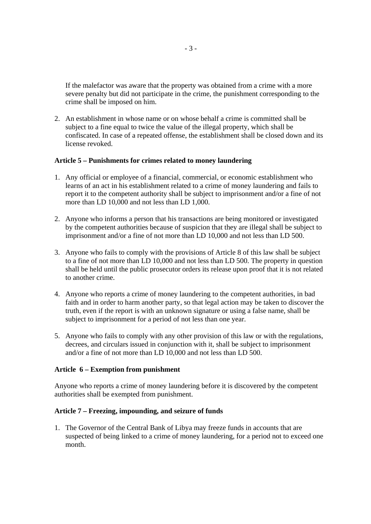If the malefactor was aware that the property was obtained from a crime with a more severe penalty but did not participate in the crime, the punishment corresponding to the crime shall be imposed on him.

2. An establishment in whose name or on whose behalf a crime is committed shall be subject to a fine equal to twice the value of the illegal property, which shall be confiscated. In case of a repeated offense, the establishment shall be closed down and its license revoked.

### **Article 5 – Punishments for crimes related to money laundering**

- 1. Any official or employee of a financial, commercial, or economic establishment who learns of an act in his establishment related to a crime of money laundering and fails to report it to the competent authority shall be subject to imprisonment and/or a fine of not more than LD 10,000 and not less than LD 1,000.
- 2. Anyone who informs a person that his transactions are being monitored or investigated by the competent authorities because of suspicion that they are illegal shall be subject to imprisonment and/or a fine of not more than LD 10,000 and not less than LD 500.
- 3. Anyone who fails to comply with the provisions of Article 8 of this law shall be subject to a fine of not more than LD 10,000 and not less than LD 500. The property in question shall be held until the public prosecutor orders its release upon proof that it is not related to another crime.
- 4. Anyone who reports a crime of money laundering to the competent authorities, in bad faith and in order to harm another party, so that legal action may be taken to discover the truth, even if the report is with an unknown signature or using a false name, shall be subject to imprisonment for a period of not less than one year.
- 5. Anyone who fails to comply with any other provision of this law or with the regulations, decrees, and circulars issued in conjunction with it, shall be subject to imprisonment and/or a fine of not more than LD 10,000 and not less than LD 500.

#### **Article 6 – Exemption from punishment**

Anyone who reports a crime of money laundering before it is discovered by the competent authorities shall be exempted from punishment.

#### **Article 7 – Freezing, impounding, and seizure of funds**

1. The Governor of the Central Bank of Libya may freeze funds in accounts that are suspected of being linked to a crime of money laundering, for a period not to exceed one month.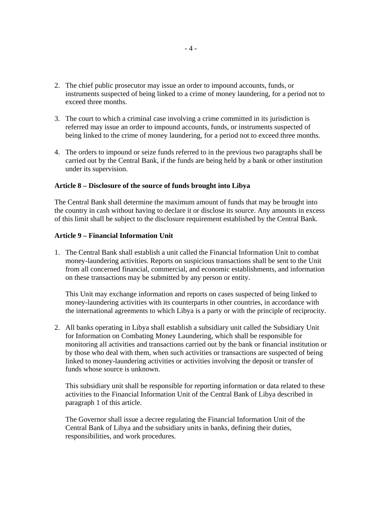- 2. The chief public prosecutor may issue an order to impound accounts, funds, or instruments suspected of being linked to a crime of money laundering, for a period not to exceed three months.
- 3. The court to which a criminal case involving a crime committed in its jurisdiction is referred may issue an order to impound accounts, funds, or instruments suspected of being linked to the crime of money laundering, for a period not to exceed three months.
- 4. The orders to impound or seize funds referred to in the previous two paragraphs shall be carried out by the Central Bank, if the funds are being held by a bank or other institution under its supervision.

#### **Article 8 – Disclosure of the source of funds brought into Libya**

The Central Bank shall determine the maximum amount of funds that may be brought into the country in cash without having to declare it or disclose its source. Any amounts in excess of this limit shall be subject to the disclosure requirement established by the Central Bank.

### **Article 9 – Financial Information Unit**

1. The Central Bank shall establish a unit called the Financial Information Unit to combat money-laundering activities. Reports on suspicious transactions shall be sent to the Unit from all concerned financial, commercial, and economic establishments, and information on these transactions may be submitted by any person or entity.

 This Unit may exchange information and reports on cases suspected of being linked to money-laundering activities with its counterparts in other countries, in accordance with the international agreements to which Libya is a party or with the principle of reciprocity.

2. All banks operating in Libya shall establish a subsidiary unit called the Subsidiary Unit for Information on Combating Money Laundering, which shall be responsible for monitoring all activities and transactions carried out by the bank or financial institution or by those who deal with them, when such activities or transactions are suspected of being linked to money-laundering activities or activities involving the deposit or transfer of funds whose source is unknown.

 This subsidiary unit shall be responsible for reporting information or data related to these activities to the Financial Information Unit of the Central Bank of Libya described in paragraph 1 of this article.

 The Governor shall issue a decree regulating the Financial Information Unit of the Central Bank of Libya and the subsidiary units in banks, defining their duties, responsibilities, and work procedures.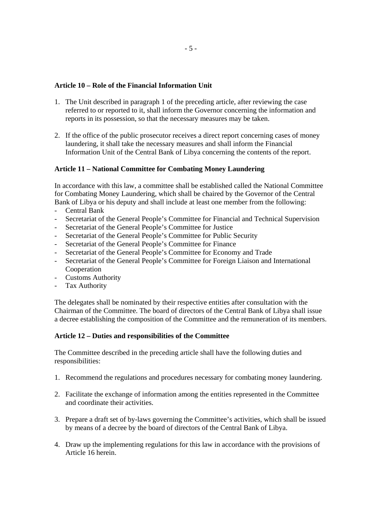### **Article 10 – Role of the Financial Information Unit**

- 1. The Unit described in paragraph 1 of the preceding article, after reviewing the case referred to or reported to it, shall inform the Governor concerning the information and reports in its possession, so that the necessary measures may be taken.
- 2. If the office of the public prosecutor receives a direct report concerning cases of money laundering, it shall take the necessary measures and shall inform the Financial Information Unit of the Central Bank of Libya concerning the contents of the report.

### **Article 11 – National Committee for Combating Money Laundering**

In accordance with this law, a committee shall be established called the National Committee for Combating Money Laundering, which shall be chaired by the Governor of the Central Bank of Libya or his deputy and shall include at least one member from the following:

- Central Bank
- Secretariat of the General People's Committee for Financial and Technical Supervision
- Secretariat of the General People's Committee for Justice
- Secretariat of the General People's Committee for Public Security
- Secretariat of the General People's Committee for Finance
- Secretariat of the General People's Committee for Economy and Trade
- Secretariat of the General People's Committee for Foreign Liaison and International Cooperation
- Customs Authority
- Tax Authority

The delegates shall be nominated by their respective entities after consultation with the Chairman of the Committee. The board of directors of the Central Bank of Libya shall issue a decree establishing the composition of the Committee and the remuneration of its members.

#### **Article 12 – Duties and responsibilities of the Committee**

The Committee described in the preceding article shall have the following duties and responsibilities:

- 1. Recommend the regulations and procedures necessary for combating money laundering.
- 2. Facilitate the exchange of information among the entities represented in the Committee and coordinate their activities.
- 3. Prepare a draft set of by-laws governing the Committee's activities, which shall be issued by means of a decree by the board of directors of the Central Bank of Libya.
- 4. Draw up the implementing regulations for this law in accordance with the provisions of Article 16 herein.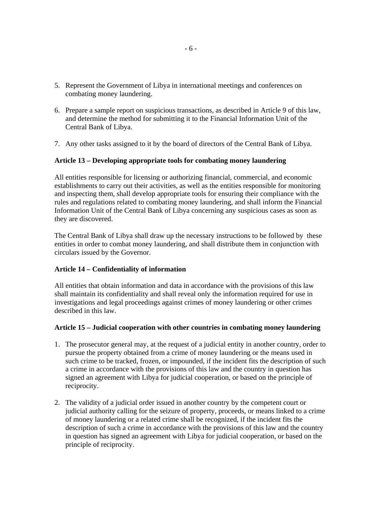- 5. Represent the Government of Libya in international meetings and conferences on combating money laundering.
- 6. Prepare a sample report on suspicious transactions, as described in Article 9 of this law, and determine the method for submitting it to the Financial Information Unit of the Central Bank of Libya.
- 7. Any other tasks assigned to it by the board of directors of the Central Bank of Libya.

#### **Article 13 – Developing appropriate tools for combating money laundering**

All entities responsible for licensing or authorizing financial, commercial, and economic establishments to carry out their activities, as well as the entities responsible for monitoring and inspecting them, shall develop appropriate tools for ensuring their compliance with the rules and regulations related to combating money laundering, and shall inform the Financial Information Unit of the Central Bank of Libya concerning any suspicious cases as soon as they are discovered.

The Central Bank of Libya shall draw up the necessary instructions to be followed by these entities in order to combat money laundering, and shall distribute them in conjunction with circulars issued by the Governor.

#### **Article 14 – Confidentiality of information**

All entities that obtain information and data in accordance with the provisions of this law shall maintain its confidentiality and shall reveal only the information required for use in investigations and legal proceedings against crimes of money laundering or other crimes described in this law.

#### **Article 15 – Judicial cooperation with other countries in combating money laundering**

- 1. The prosecutor general may, at the request of a judicial entity in another country, order to pursue the property obtained from a crime of money laundering or the means used in such crime to be tracked, frozen, or impounded, if the incident fits the description of such a crime in accordance with the provisions of this law and the country in question has signed an agreement with Libya for judicial cooperation, or based on the principle of reciprocity.
- 2. The validity of a judicial order issued in another country by the competent court or judicial authority calling for the seizure of property, proceeds, or means linked to a crime of money laundering or a related crime shall be recognized, if the incident fits the description of such a crime in accordance with the provisions of this law and the country in question has signed an agreement with Libya for judicial cooperation, or based on the principle of reciprocity.